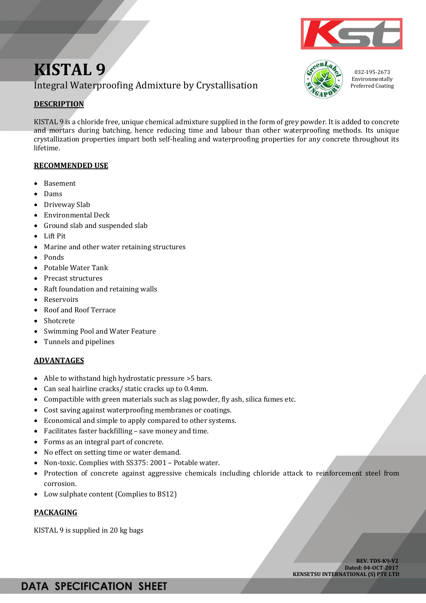# **KISTAL 9** Integral Waterproofing Admixture by Crystallisation

### **DESCRIPTION**

KISTAL 9 is a chloride free, unique chemical admixture supplied in the form of grey powder. It is added to concrete and mortars during batching, hence reducing time and labour than other waterproofing methods. Its unique crystallization properties impart both self-healing and waterproofing properties for any concrete throughout its lifetime.

#### **RECOMMENDED USE**

- Basement
- Dams
- Driveway Slab
- Environmental Deck
- Ground slab and suspended slab
- Lift Pit
- Marine and other water retaining structures
- Ponds
- Potable Water Tank
- Precast structures
- Raft foundation and retaining walls
- Reservoirs
- Roof and Roof Terrace
- Shotcrete
- Swimming Pool and Water Feature
- Tunnels and pipelines

#### **ADVANTAGES**

- Able to withstand high hydrostatic pressure >5 bars.
- Can seal hairline cracks/ static cracks up to 0.4mm.
- Compactible with green materials such as slag powder, fly ash, silica fumes etc.
- Cost saving against waterproofing membranes or coatings.
- Economical and simple to apply compared to other systems.
- Facilitates faster backfilling save money and time.
- Forms as an integral part of concrete.
- No effect on setting time or water demand.
- Non-toxic. Complies with SS375: 2001 Potable water.
- Protection of concrete against aggressive chemicals including chloride attack to reinforcement steel from corrosion.
- Low sulphate content (Complies to BS12)

#### **PACKAGING**

KISTAL 9 is supplied in 20 kg bags

 **REV. TDS-K9-V2 Dated: 04-OCT-2017 KENSETSU INTERNATIONAL (S) PTE LTD**





032-195-2673 Environmentally Preferred Coating

### **DATA SPECIFICATION SHEET**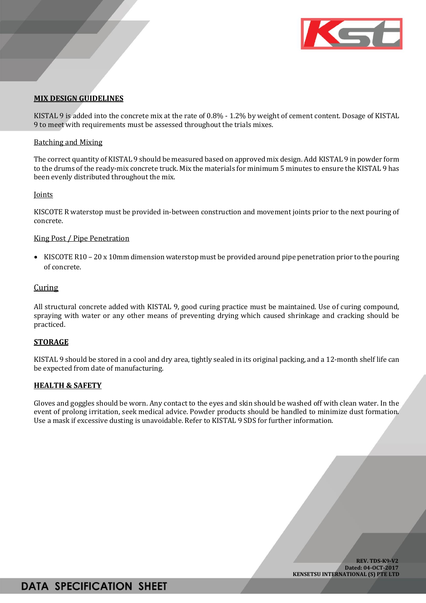

#### **MIX DESIGN GUIDELINES**

KISTAL 9 is added into the concrete mix at the rate of 0.8% - 1.2% by weight of cement content. Dosage of KISTAL 9 to meet with requirements must be assessed throughout the trials mixes.

#### Batching and Mixing

The correct quantity of KISTAL 9 should be measured based on approved mix design. Add KISTAL 9 in powder form to the drums of the ready-mix concrete truck. Mix the materials for minimum 5 minutes to ensure the KISTAL 9 has been evenly distributed throughout the mix.

#### Joints

KISCOTE R waterstop must be provided in-between construction and movement joints prior to the next pouring of concrete.

#### King Post / Pipe Penetration

• KISCOTE R10 – 20 x 10mm dimension waterstop must be provided around pipe penetration prior to the pouring of concrete.

#### **Curing**

All structural concrete added with KISTAL 9, good curing practice must be maintained. Use of curing compound, spraying with water or any other means of preventing drying which caused shrinkage and cracking should be practiced.

#### **STORAGE**

KISTAL 9 should be stored in a cool and dry area, tightly sealed in its original packing, and a 12-month shelf life can be expected from date of manufacturing.

#### **HEALTH & SAFETY**

Gloves and goggles should be worn. Any contact to the eyes and skin should be washed off with clean water. In the event of prolong irritation, seek medical advice. Powder products should be handled to minimize dust formation. Use a mask if excessive dusting is unavoidable. Refer to KISTAL 9 SDS for further information.